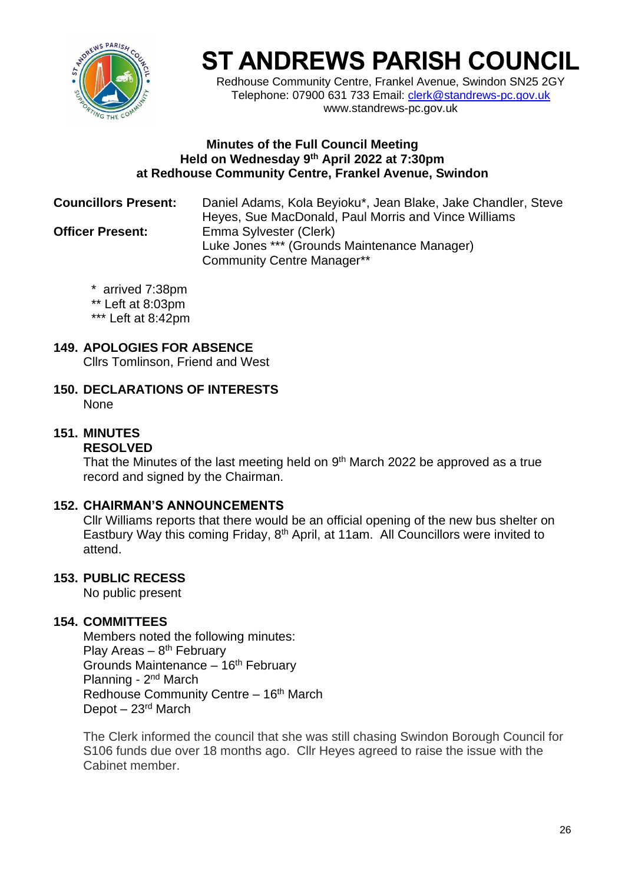

# **ST ANDREWS PARISH COUNCIL**

Redhouse Community Centre, Frankel Avenue, Swindon SN25 2GY Telephone: 07900 631 733 Email: [clerk@standrews-pc.gov.uk](mailto:clerk@standrews-pc.gov.uk) www.standrews-pc.gov.uk

#### **Minutes of the Full Council Meeting Held on Wednesday 9 th April 2022 at 7:30pm at Redhouse Community Centre, Frankel Avenue, Swindon**

**Councillors Present:** Daniel Adams, Kola Beyioku\*, Jean Blake, Jake Chandler, Steve Heyes, Sue MacDonald, Paul Morris and Vince Williams **Officer Present:** Emma Sylvester (Clerk) Luke Jones \*\*\* (Grounds Maintenance Manager) Community Centre Manager\*\*

- \* arrived 7:38pm
- \*\* Left at 8:03pm
- \*\*\* Left at 8:42pm

# **149. APOLOGIES FOR ABSENCE**

Cllrs Tomlinson, Friend and West

**150. DECLARATIONS OF INTERESTS** None

# **151. MINUTES**

### **RESOLVED**

That the Minutes of the last meeting held on  $9<sup>th</sup>$  March 2022 be approved as a true record and signed by the Chairman.

#### **152. CHAIRMAN'S ANNOUNCEMENTS**

Cllr Williams reports that there would be an official opening of the new bus shelter on Eastbury Way this coming Friday, 8<sup>th</sup> April, at 11am. All Councillors were invited to attend.

#### **153. PUBLIC RECESS**

No public present

#### **154. COMMITTEES**

Members noted the following minutes: Play Areas – 8<sup>th</sup> February Grounds Maintenance - 16<sup>th</sup> February Planning - 2<sup>nd</sup> March Redhouse Community Centre - 16<sup>th</sup> March Depot  $-23$ <sup>rd</sup> March

The Clerk informed the council that she was still chasing Swindon Borough Council for S106 funds due over 18 months ago. Cllr Heyes agreed to raise the issue with the Cabinet member.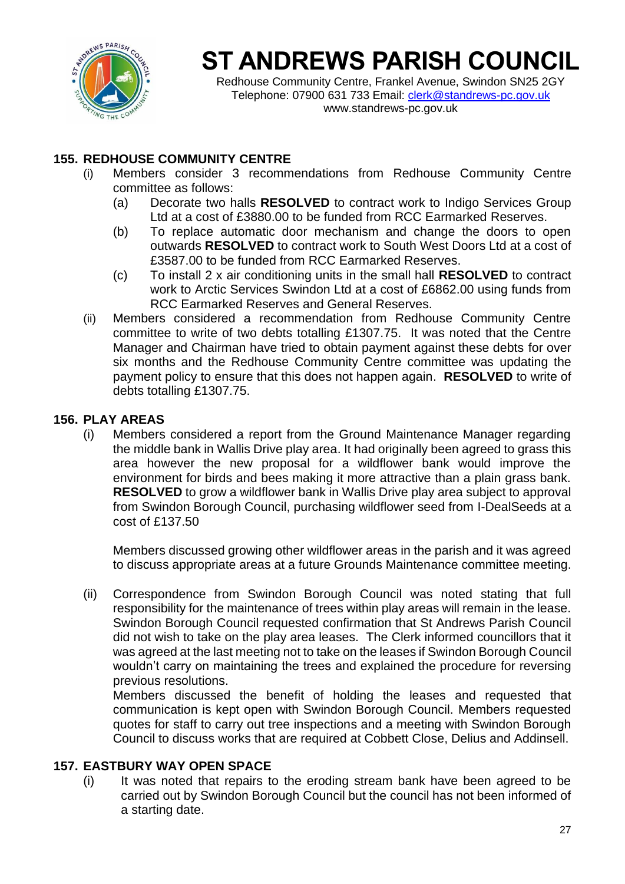

# **ST ANDREWS PARISH COUNCIL**

Redhouse Community Centre, Frankel Avenue, Swindon SN25 2GY Telephone: 07900 631 733 Email: [clerk@standrews-pc.gov.uk](mailto:clerk@standrews-pc.gov.uk) www.standrews-pc.gov.uk

### **155. REDHOUSE COMMUNITY CENTRE**

- (i) Members consider 3 recommendations from Redhouse Community Centre committee as follows:
	- (a) Decorate two halls **RESOLVED** to contract work to Indigo Services Group Ltd at a cost of £3880.00 to be funded from RCC Earmarked Reserves.
	- (b) To replace automatic door mechanism and change the doors to open outwards **RESOLVED** to contract work to South West Doors Ltd at a cost of £3587.00 to be funded from RCC Earmarked Reserves.
	- (c) To install 2 x air conditioning units in the small hall **RESOLVED** to contract work to Arctic Services Swindon Ltd at a cost of £6862.00 using funds from RCC Earmarked Reserves and General Reserves.
- (ii) Members considered a recommendation from Redhouse Community Centre committee to write of two debts totalling £1307.75. It was noted that the Centre Manager and Chairman have tried to obtain payment against these debts for over six months and the Redhouse Community Centre committee was updating the payment policy to ensure that this does not happen again. **RESOLVED** to write of debts totalling £1307.75.

#### **156. PLAY AREAS**

(i) Members considered a report from the Ground Maintenance Manager regarding the middle bank in Wallis Drive play area. It had originally been agreed to grass this area however the new proposal for a wildflower bank would improve the environment for birds and bees making it more attractive than a plain grass bank. **RESOLVED** to grow a wildflower bank in Wallis Drive play area subject to approval from Swindon Borough Council, purchasing wildflower seed from I-DealSeeds at a cost of £137.50

Members discussed growing other wildflower areas in the parish and it was agreed to discuss appropriate areas at a future Grounds Maintenance committee meeting.

(ii) Correspondence from Swindon Borough Council was noted stating that full responsibility for the maintenance of trees within play areas will remain in the lease. Swindon Borough Council requested confirmation that St Andrews Parish Council did not wish to take on the play area leases. The Clerk informed councillors that it was agreed at the last meeting not to take on the leases if Swindon Borough Council wouldn't carry on maintaining the trees and explained the procedure for reversing previous resolutions.

Members discussed the benefit of holding the leases and requested that communication is kept open with Swindon Borough Council. Members requested quotes for staff to carry out tree inspections and a meeting with Swindon Borough Council to discuss works that are required at Cobbett Close, Delius and Addinsell.

#### **157. EASTBURY WAY OPEN SPACE**

(i) It was noted that repairs to the eroding stream bank have been agreed to be carried out by Swindon Borough Council but the council has not been informed of a starting date.